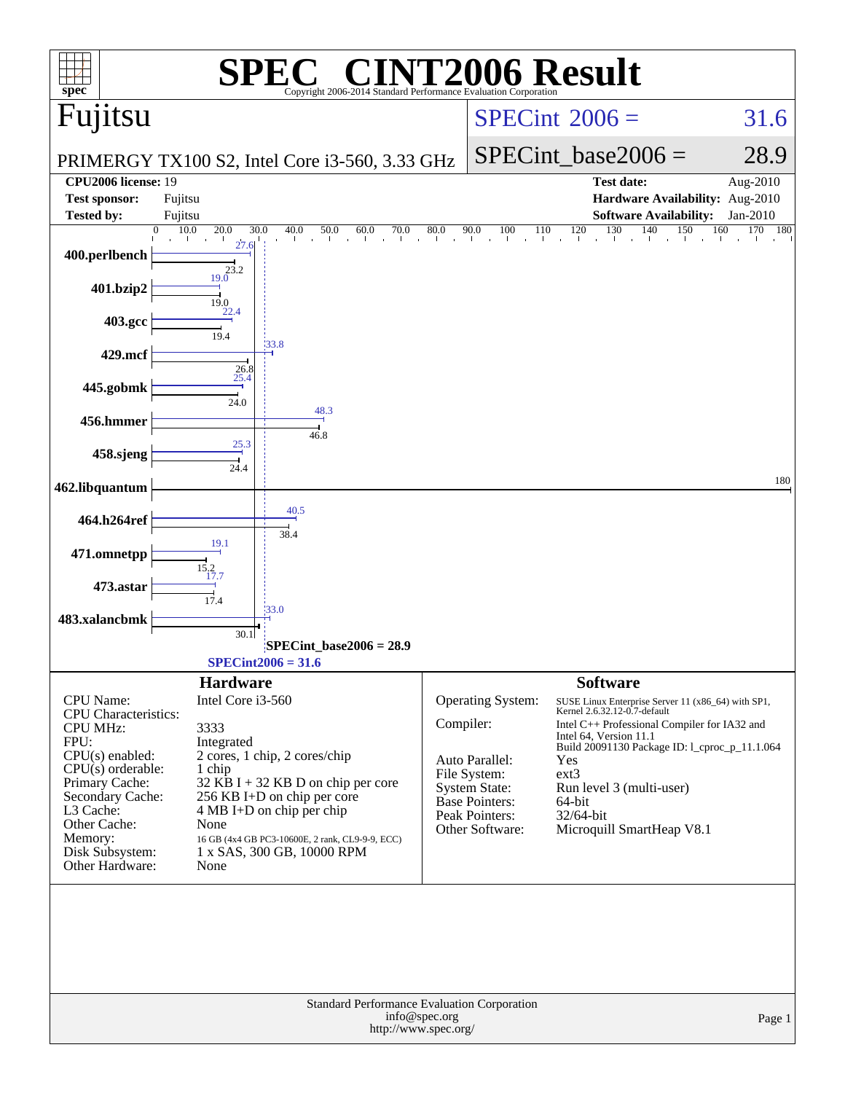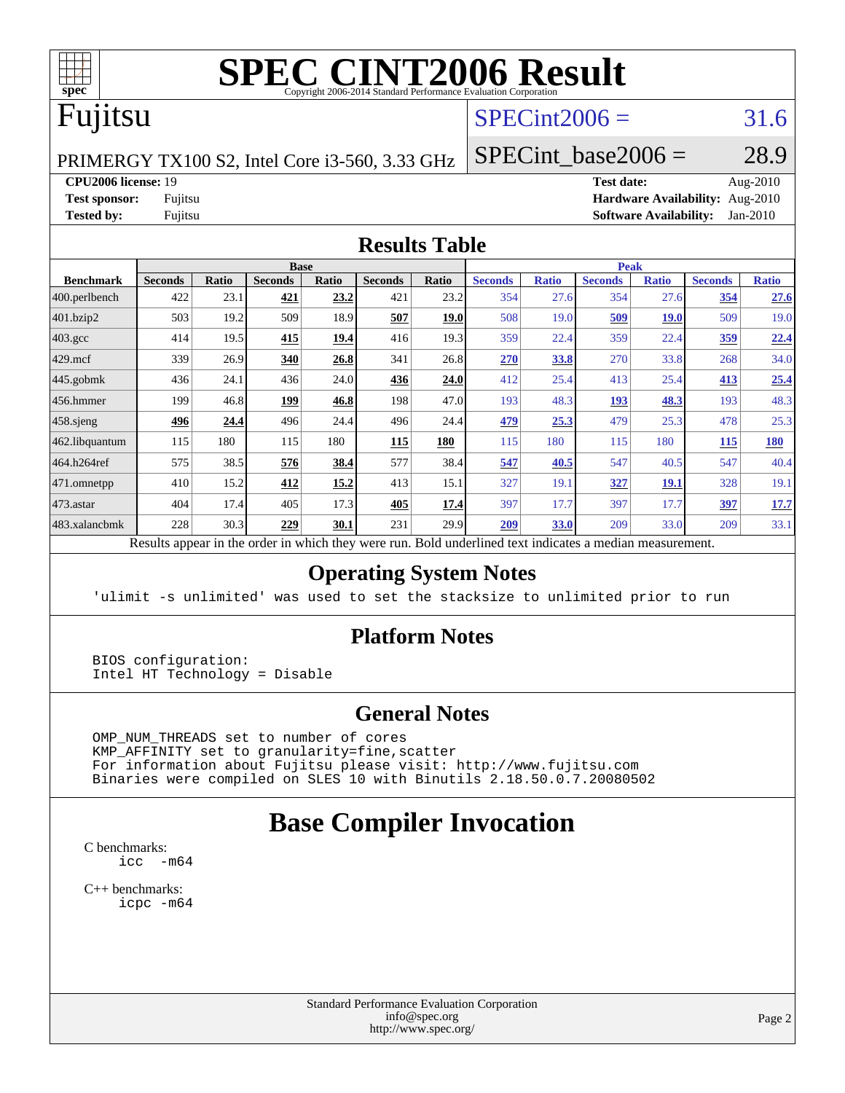

# **[SPEC CINT2006 Result](http://www.spec.org/auto/cpu2006/Docs/result-fields.html#SPECCINT2006Result)**

# Fujitsu

# $SPECint2006 = 31.6$  $SPECint2006 = 31.6$

PRIMERGY TX100 S2, Intel Core i3-560, 3.33 GHz

SPECint base2006 =  $28.9$ 

**[CPU2006 license:](http://www.spec.org/auto/cpu2006/Docs/result-fields.html#CPU2006license)** 19 **[Test date:](http://www.spec.org/auto/cpu2006/Docs/result-fields.html#Testdate)** Aug-2010 **[Test sponsor:](http://www.spec.org/auto/cpu2006/Docs/result-fields.html#Testsponsor)** Fujitsu **[Hardware Availability:](http://www.spec.org/auto/cpu2006/Docs/result-fields.html#HardwareAvailability)** Aug-2010 **[Tested by:](http://www.spec.org/auto/cpu2006/Docs/result-fields.html#Testedby)** Fujitsu **[Software Availability:](http://www.spec.org/auto/cpu2006/Docs/result-fields.html#SoftwareAvailability)** Jan-2010

#### **[Results Table](http://www.spec.org/auto/cpu2006/Docs/result-fields.html#ResultsTable)**

|                  |                | <b>Base</b> |                                                                  |       |                | <b>Peak</b> |                                                  |              |                |              |                |              |
|------------------|----------------|-------------|------------------------------------------------------------------|-------|----------------|-------------|--------------------------------------------------|--------------|----------------|--------------|----------------|--------------|
| <b>Benchmark</b> | <b>Seconds</b> | Ratio       | <b>Seconds</b>                                                   | Ratio | <b>Seconds</b> | Ratio       | <b>Seconds</b>                                   | <b>Ratio</b> | <b>Seconds</b> | <b>Ratio</b> | <b>Seconds</b> | <b>Ratio</b> |
| 400.perlbench    | 422            | 23.1        | 421                                                              | 23.2  | 421            | 23.2        | 354                                              | 27.6         | 354            | 27.6         | 354            | 27.6         |
| 401.bzip2        | 503            | 19.2        | 509                                                              | 18.9  | 507            | 19.0        | 508                                              | 19.0         | 509            | <b>19.0</b>  | 509            | 19.0         |
| $403.\text{gcc}$ | 414            | 19.5        | 415                                                              | 19.4  | 416            | 19.3        | 359                                              | 22.4         | 359            | 22.4         | <u>359</u>     | 22.4         |
| $429$ .mcf       | 339            | 26.9        | 340                                                              | 26.8  | 341            | 26.8        | 270                                              | 33.8         | 270            | 33.8         | 268            | 34.0         |
| $445$ .gobmk     | 436            | 24.1        | 436                                                              | 24.0  | 436            | 24.0        | 412                                              | 25.4         | 413            | 25.4         | 413            | 25.4         |
| $ 456$ .hmmer    | 199            | 46.8        | 199                                                              | 46.8  | 198            | 47.0        | 193                                              | 48.3         | 193            | 48.3         | 193            | 48.3         |
| $458$ .sjeng     | 496            | 24.4        | 496                                                              | 24.4  | 496            | 24.4        | 479                                              | 25.3         | 479            | 25.3         | 478            | 25.3         |
| 462.libquantum   | 115            | 180         | 115                                                              | 180   | 115            | 180         | 115                                              | 180          | 115            | 180          | 115            | 180          |
| 464.h264ref      | 575            | 38.5        | 576                                                              | 38.4  | 577            | 38.4        | 547                                              | 40.5         | 547            | 40.5         | 547            | 40.4         |
| 471.omnetpp      | 410            | 15.2        | 412                                                              | 15.2  | 413            | 15.1        | 327                                              | 19.1         | 327            | <u>19.1</u>  | 328            | 19.1         |
| $473.$ astar     | 404            | 17.4        | 405                                                              | 17.3  | 405            | 17.4        | 397                                              | 17.7         | 397            | 17.7         | 397            | 17.7         |
| 483.xalancbmk    | 228            | 30.3        | 229                                                              | 30.1  | 231            | 29.9        | 209                                              | 33.0         | 209            | 33.0         | 209            | 33.1         |
|                  |                |             | Describe announced in the conduction criticals there create more |       |                |             | Dald and called to all the field cotton and disc |              |                |              |                |              |

Results appear in the [order in which they were run.](http://www.spec.org/auto/cpu2006/Docs/result-fields.html#RunOrder) Bold underlined text [indicates a median measurement.](http://www.spec.org/auto/cpu2006/Docs/result-fields.html#Median)

#### **[Operating System Notes](http://www.spec.org/auto/cpu2006/Docs/result-fields.html#OperatingSystemNotes)**

'ulimit -s unlimited' was used to set the stacksize to unlimited prior to run

#### **[Platform Notes](http://www.spec.org/auto/cpu2006/Docs/result-fields.html#PlatformNotes)**

 BIOS configuration: Intel HT Technology = Disable

#### **[General Notes](http://www.spec.org/auto/cpu2006/Docs/result-fields.html#GeneralNotes)**

 OMP\_NUM\_THREADS set to number of cores KMP\_AFFINITY set to granularity=fine,scatter For information about Fujitsu please visit: <http://www.fujitsu.com> Binaries were compiled on SLES 10 with Binutils 2.18.50.0.7.20080502

# **[Base Compiler Invocation](http://www.spec.org/auto/cpu2006/Docs/result-fields.html#BaseCompilerInvocation)**

[C benchmarks](http://www.spec.org/auto/cpu2006/Docs/result-fields.html#Cbenchmarks): [icc -m64](http://www.spec.org/cpu2006/results/res2010q3/cpu2006-20100820-13047.flags.html#user_CCbase_intel_icc_64bit_f346026e86af2a669e726fe758c88044)

[C++ benchmarks:](http://www.spec.org/auto/cpu2006/Docs/result-fields.html#CXXbenchmarks) [icpc -m64](http://www.spec.org/cpu2006/results/res2010q3/cpu2006-20100820-13047.flags.html#user_CXXbase_intel_icpc_64bit_fc66a5337ce925472a5c54ad6a0de310)

> Standard Performance Evaluation Corporation [info@spec.org](mailto:info@spec.org) <http://www.spec.org/>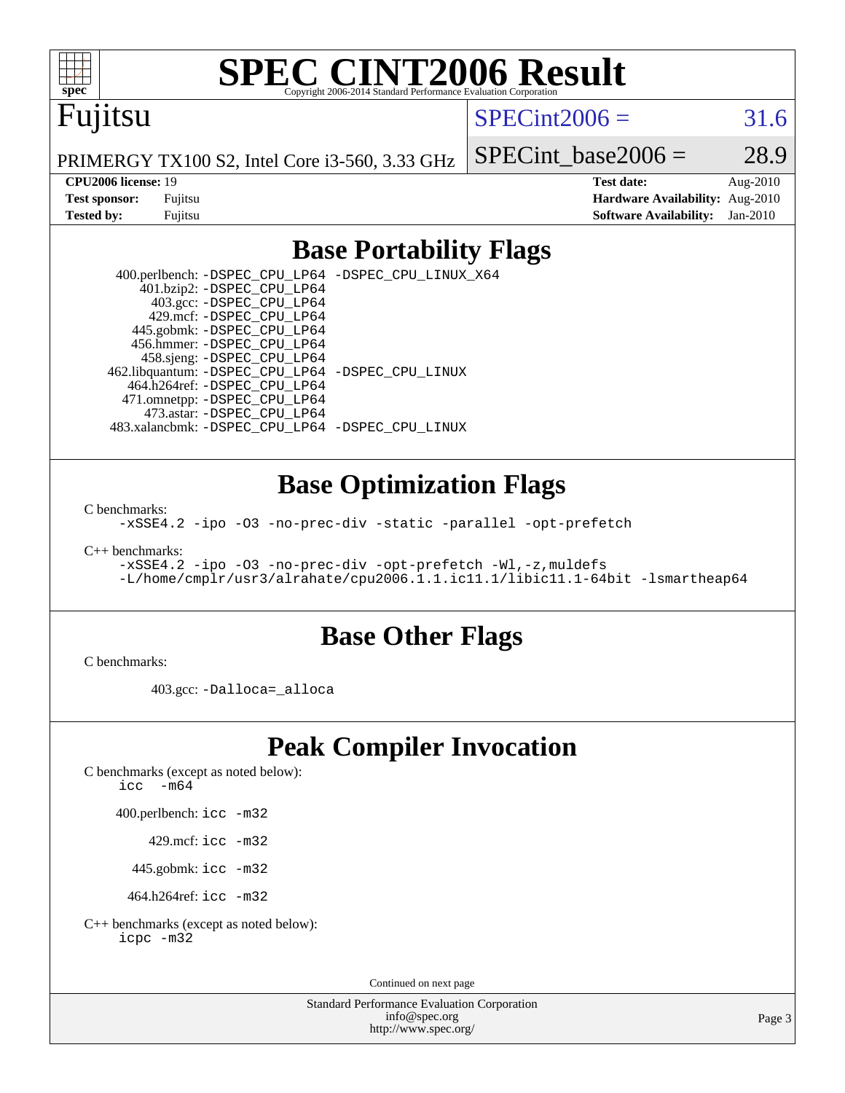

# **[SPEC CINT2006 Result](http://www.spec.org/auto/cpu2006/Docs/result-fields.html#SPECCINT2006Result)**

# Fujitsu

### $SPECint2006 = 31.6$  $SPECint2006 = 31.6$

PRIMERGY TX100 S2, Intel Core i3-560, 3.33 GHz

SPECint base2006 =  $28.9$ 

**[CPU2006 license:](http://www.spec.org/auto/cpu2006/Docs/result-fields.html#CPU2006license)** 19 **[Test date:](http://www.spec.org/auto/cpu2006/Docs/result-fields.html#Testdate)** Aug-2010 **[Test sponsor:](http://www.spec.org/auto/cpu2006/Docs/result-fields.html#Testsponsor)** Fujitsu **[Hardware Availability:](http://www.spec.org/auto/cpu2006/Docs/result-fields.html#HardwareAvailability)** Aug-2010 **[Tested by:](http://www.spec.org/auto/cpu2006/Docs/result-fields.html#Testedby)** Fujitsu **[Software Availability:](http://www.spec.org/auto/cpu2006/Docs/result-fields.html#SoftwareAvailability)** Jan-2010

## **[Base Portability Flags](http://www.spec.org/auto/cpu2006/Docs/result-fields.html#BasePortabilityFlags)**

 400.perlbench: [-DSPEC\\_CPU\\_LP64](http://www.spec.org/cpu2006/results/res2010q3/cpu2006-20100820-13047.flags.html#b400.perlbench_basePORTABILITY_DSPEC_CPU_LP64) [-DSPEC\\_CPU\\_LINUX\\_X64](http://www.spec.org/cpu2006/results/res2010q3/cpu2006-20100820-13047.flags.html#b400.perlbench_baseCPORTABILITY_DSPEC_CPU_LINUX_X64) 401.bzip2: [-DSPEC\\_CPU\\_LP64](http://www.spec.org/cpu2006/results/res2010q3/cpu2006-20100820-13047.flags.html#suite_basePORTABILITY401_bzip2_DSPEC_CPU_LP64) 403.gcc: [-DSPEC\\_CPU\\_LP64](http://www.spec.org/cpu2006/results/res2010q3/cpu2006-20100820-13047.flags.html#suite_basePORTABILITY403_gcc_DSPEC_CPU_LP64) 429.mcf: [-DSPEC\\_CPU\\_LP64](http://www.spec.org/cpu2006/results/res2010q3/cpu2006-20100820-13047.flags.html#suite_basePORTABILITY429_mcf_DSPEC_CPU_LP64) 445.gobmk: [-DSPEC\\_CPU\\_LP64](http://www.spec.org/cpu2006/results/res2010q3/cpu2006-20100820-13047.flags.html#suite_basePORTABILITY445_gobmk_DSPEC_CPU_LP64) 456.hmmer: [-DSPEC\\_CPU\\_LP64](http://www.spec.org/cpu2006/results/res2010q3/cpu2006-20100820-13047.flags.html#suite_basePORTABILITY456_hmmer_DSPEC_CPU_LP64) 458.sjeng: [-DSPEC\\_CPU\\_LP64](http://www.spec.org/cpu2006/results/res2010q3/cpu2006-20100820-13047.flags.html#suite_basePORTABILITY458_sjeng_DSPEC_CPU_LP64) 462.libquantum: [-DSPEC\\_CPU\\_LP64](http://www.spec.org/cpu2006/results/res2010q3/cpu2006-20100820-13047.flags.html#suite_basePORTABILITY462_libquantum_DSPEC_CPU_LP64) [-DSPEC\\_CPU\\_LINUX](http://www.spec.org/cpu2006/results/res2010q3/cpu2006-20100820-13047.flags.html#b462.libquantum_baseCPORTABILITY_DSPEC_CPU_LINUX) 464.h264ref: [-DSPEC\\_CPU\\_LP64](http://www.spec.org/cpu2006/results/res2010q3/cpu2006-20100820-13047.flags.html#suite_basePORTABILITY464_h264ref_DSPEC_CPU_LP64) 471.omnetpp: [-DSPEC\\_CPU\\_LP64](http://www.spec.org/cpu2006/results/res2010q3/cpu2006-20100820-13047.flags.html#suite_basePORTABILITY471_omnetpp_DSPEC_CPU_LP64) 473.astar: [-DSPEC\\_CPU\\_LP64](http://www.spec.org/cpu2006/results/res2010q3/cpu2006-20100820-13047.flags.html#suite_basePORTABILITY473_astar_DSPEC_CPU_LP64) 483.xalancbmk: [-DSPEC\\_CPU\\_LP64](http://www.spec.org/cpu2006/results/res2010q3/cpu2006-20100820-13047.flags.html#suite_basePORTABILITY483_xalancbmk_DSPEC_CPU_LP64) [-DSPEC\\_CPU\\_LINUX](http://www.spec.org/cpu2006/results/res2010q3/cpu2006-20100820-13047.flags.html#b483.xalancbmk_baseCXXPORTABILITY_DSPEC_CPU_LINUX)

### **[Base Optimization Flags](http://www.spec.org/auto/cpu2006/Docs/result-fields.html#BaseOptimizationFlags)**

[C benchmarks](http://www.spec.org/auto/cpu2006/Docs/result-fields.html#Cbenchmarks):

[-xSSE4.2](http://www.spec.org/cpu2006/results/res2010q3/cpu2006-20100820-13047.flags.html#user_CCbase_f-xSSE42_f91528193cf0b216347adb8b939d4107) [-ipo](http://www.spec.org/cpu2006/results/res2010q3/cpu2006-20100820-13047.flags.html#user_CCbase_f-ipo) [-O3](http://www.spec.org/cpu2006/results/res2010q3/cpu2006-20100820-13047.flags.html#user_CCbase_f-O3) [-no-prec-div](http://www.spec.org/cpu2006/results/res2010q3/cpu2006-20100820-13047.flags.html#user_CCbase_f-no-prec-div) [-static](http://www.spec.org/cpu2006/results/res2010q3/cpu2006-20100820-13047.flags.html#user_CCbase_f-static) [-parallel](http://www.spec.org/cpu2006/results/res2010q3/cpu2006-20100820-13047.flags.html#user_CCbase_f-parallel) [-opt-prefetch](http://www.spec.org/cpu2006/results/res2010q3/cpu2006-20100820-13047.flags.html#user_CCbase_f-opt-prefetch)

[C++ benchmarks:](http://www.spec.org/auto/cpu2006/Docs/result-fields.html#CXXbenchmarks)

[-xSSE4.2](http://www.spec.org/cpu2006/results/res2010q3/cpu2006-20100820-13047.flags.html#user_CXXbase_f-xSSE42_f91528193cf0b216347adb8b939d4107) [-ipo](http://www.spec.org/cpu2006/results/res2010q3/cpu2006-20100820-13047.flags.html#user_CXXbase_f-ipo) [-O3](http://www.spec.org/cpu2006/results/res2010q3/cpu2006-20100820-13047.flags.html#user_CXXbase_f-O3) [-no-prec-div](http://www.spec.org/cpu2006/results/res2010q3/cpu2006-20100820-13047.flags.html#user_CXXbase_f-no-prec-div) [-opt-prefetch](http://www.spec.org/cpu2006/results/res2010q3/cpu2006-20100820-13047.flags.html#user_CXXbase_f-opt-prefetch) [-Wl,-z,muldefs](http://www.spec.org/cpu2006/results/res2010q3/cpu2006-20100820-13047.flags.html#user_CXXbase_link_force_multiple1_74079c344b956b9658436fd1b6dd3a8a) [-L/home/cmplr/usr3/alrahate/cpu2006.1.1.ic11.1/libic11.1-64bit -lsmartheap64](http://www.spec.org/cpu2006/results/res2010q3/cpu2006-20100820-13047.flags.html#user_CXXbase_SmartHeap64_e2306cda84805d1ab360117a79ff779c)

### **[Base Other Flags](http://www.spec.org/auto/cpu2006/Docs/result-fields.html#BaseOtherFlags)**

[C benchmarks](http://www.spec.org/auto/cpu2006/Docs/result-fields.html#Cbenchmarks):

403.gcc: [-Dalloca=\\_alloca](http://www.spec.org/cpu2006/results/res2010q3/cpu2006-20100820-13047.flags.html#b403.gcc_baseEXTRA_CFLAGS_Dalloca_be3056838c12de2578596ca5467af7f3)

# **[Peak Compiler Invocation](http://www.spec.org/auto/cpu2006/Docs/result-fields.html#PeakCompilerInvocation)**

[C benchmarks \(except as noted below\)](http://www.spec.org/auto/cpu2006/Docs/result-fields.html#Cbenchmarksexceptasnotedbelow):

icc  $-m64$ 

400.perlbench: [icc -m32](http://www.spec.org/cpu2006/results/res2010q3/cpu2006-20100820-13047.flags.html#user_peakCCLD400_perlbench_intel_icc_32bit_a6a621f8d50482236b970c6ac5f55f93)

429.mcf: [icc -m32](http://www.spec.org/cpu2006/results/res2010q3/cpu2006-20100820-13047.flags.html#user_peakCCLD429_mcf_intel_icc_32bit_a6a621f8d50482236b970c6ac5f55f93)

445.gobmk: [icc -m32](http://www.spec.org/cpu2006/results/res2010q3/cpu2006-20100820-13047.flags.html#user_peakCCLD445_gobmk_intel_icc_32bit_a6a621f8d50482236b970c6ac5f55f93)

464.h264ref: [icc -m32](http://www.spec.org/cpu2006/results/res2010q3/cpu2006-20100820-13047.flags.html#user_peakCCLD464_h264ref_intel_icc_32bit_a6a621f8d50482236b970c6ac5f55f93)

[C++ benchmarks \(except as noted below\):](http://www.spec.org/auto/cpu2006/Docs/result-fields.html#CXXbenchmarksexceptasnotedbelow) [icpc -m32](http://www.spec.org/cpu2006/results/res2010q3/cpu2006-20100820-13047.flags.html#user_CXXpeak_intel_icpc_32bit_4e5a5ef1a53fd332b3c49e69c3330699)

Continued on next page

Standard Performance Evaluation Corporation [info@spec.org](mailto:info@spec.org) <http://www.spec.org/>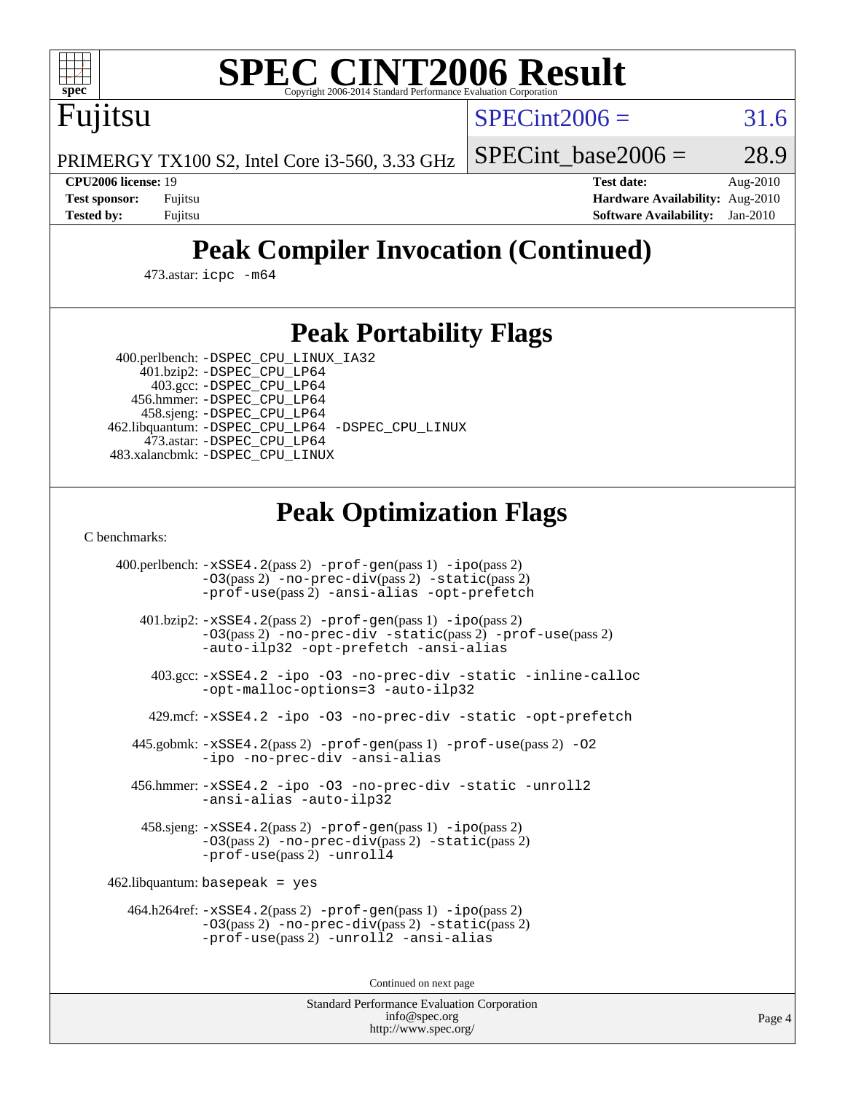

# **[SPEC CINT2006 Result](http://www.spec.org/auto/cpu2006/Docs/result-fields.html#SPECCINT2006Result)**

 $SPECint2006 = 31.6$  $SPECint2006 = 31.6$ 

PRIMERGY TX100 S2, Intel Core i3-560, 3.33 GHz

SPECint base2006 =  $28.9$ 

Fujitsu

**[CPU2006 license:](http://www.spec.org/auto/cpu2006/Docs/result-fields.html#CPU2006license)** 19 **[Test date:](http://www.spec.org/auto/cpu2006/Docs/result-fields.html#Testdate)** Aug-2010 **[Test sponsor:](http://www.spec.org/auto/cpu2006/Docs/result-fields.html#Testsponsor)** Fujitsu **[Hardware Availability:](http://www.spec.org/auto/cpu2006/Docs/result-fields.html#HardwareAvailability)** Aug-2010 **[Tested by:](http://www.spec.org/auto/cpu2006/Docs/result-fields.html#Testedby)** Fujitsu **[Software Availability:](http://www.spec.org/auto/cpu2006/Docs/result-fields.html#SoftwareAvailability)** Jan-2010

# **[Peak Compiler Invocation \(Continued\)](http://www.spec.org/auto/cpu2006/Docs/result-fields.html#PeakCompilerInvocation)**

473.astar: [icpc -m64](http://www.spec.org/cpu2006/results/res2010q3/cpu2006-20100820-13047.flags.html#user_peakCXXLD473_astar_intel_icpc_64bit_fc66a5337ce925472a5c54ad6a0de310)

## **[Peak Portability Flags](http://www.spec.org/auto/cpu2006/Docs/result-fields.html#PeakPortabilityFlags)**

400.perlbench: [-DSPEC\\_CPU\\_LINUX\\_IA32](http://www.spec.org/cpu2006/results/res2010q3/cpu2006-20100820-13047.flags.html#b400.perlbench_peakCPORTABILITY_DSPEC_CPU_LINUX_IA32)

 401.bzip2: [-DSPEC\\_CPU\\_LP64](http://www.spec.org/cpu2006/results/res2010q3/cpu2006-20100820-13047.flags.html#suite_peakPORTABILITY401_bzip2_DSPEC_CPU_LP64) 403.gcc: [-DSPEC\\_CPU\\_LP64](http://www.spec.org/cpu2006/results/res2010q3/cpu2006-20100820-13047.flags.html#suite_peakPORTABILITY403_gcc_DSPEC_CPU_LP64) 456.hmmer: [-DSPEC\\_CPU\\_LP64](http://www.spec.org/cpu2006/results/res2010q3/cpu2006-20100820-13047.flags.html#suite_peakPORTABILITY456_hmmer_DSPEC_CPU_LP64) 458.sjeng: [-DSPEC\\_CPU\\_LP64](http://www.spec.org/cpu2006/results/res2010q3/cpu2006-20100820-13047.flags.html#suite_peakPORTABILITY458_sjeng_DSPEC_CPU_LP64) 462.libquantum: [-DSPEC\\_CPU\\_LP64](http://www.spec.org/cpu2006/results/res2010q3/cpu2006-20100820-13047.flags.html#suite_peakPORTABILITY462_libquantum_DSPEC_CPU_LP64) [-DSPEC\\_CPU\\_LINUX](http://www.spec.org/cpu2006/results/res2010q3/cpu2006-20100820-13047.flags.html#b462.libquantum_peakCPORTABILITY_DSPEC_CPU_LINUX) 473.astar: [-DSPEC\\_CPU\\_LP64](http://www.spec.org/cpu2006/results/res2010q3/cpu2006-20100820-13047.flags.html#suite_peakPORTABILITY473_astar_DSPEC_CPU_LP64) 483.xalancbmk: [-DSPEC\\_CPU\\_LINUX](http://www.spec.org/cpu2006/results/res2010q3/cpu2006-20100820-13047.flags.html#b483.xalancbmk_peakCXXPORTABILITY_DSPEC_CPU_LINUX)

# **[Peak Optimization Flags](http://www.spec.org/auto/cpu2006/Docs/result-fields.html#PeakOptimizationFlags)**

[C benchmarks](http://www.spec.org/auto/cpu2006/Docs/result-fields.html#Cbenchmarks):

 400.perlbench: [-xSSE4.2](http://www.spec.org/cpu2006/results/res2010q3/cpu2006-20100820-13047.flags.html#user_peakPASS2_CFLAGSPASS2_LDCFLAGS400_perlbench_f-xSSE42_f91528193cf0b216347adb8b939d4107)(pass 2) [-prof-gen](http://www.spec.org/cpu2006/results/res2010q3/cpu2006-20100820-13047.flags.html#user_peakPASS1_CFLAGSPASS1_LDCFLAGS400_perlbench_prof_gen_e43856698f6ca7b7e442dfd80e94a8fc)(pass 1) [-ipo](http://www.spec.org/cpu2006/results/res2010q3/cpu2006-20100820-13047.flags.html#user_peakPASS2_CFLAGSPASS2_LDCFLAGS400_perlbench_f-ipo)(pass 2) [-O3](http://www.spec.org/cpu2006/results/res2010q3/cpu2006-20100820-13047.flags.html#user_peakPASS2_CFLAGSPASS2_LDCFLAGS400_perlbench_f-O3)(pass 2) [-no-prec-div](http://www.spec.org/cpu2006/results/res2010q3/cpu2006-20100820-13047.flags.html#user_peakPASS2_CFLAGSPASS2_LDCFLAGS400_perlbench_f-no-prec-div)(pass 2) [-static](http://www.spec.org/cpu2006/results/res2010q3/cpu2006-20100820-13047.flags.html#user_peakPASS2_CFLAGSPASS2_LDCFLAGS400_perlbench_f-static)(pass 2) [-prof-use](http://www.spec.org/cpu2006/results/res2010q3/cpu2006-20100820-13047.flags.html#user_peakPASS2_CFLAGSPASS2_LDCFLAGS400_perlbench_prof_use_bccf7792157ff70d64e32fe3e1250b55)(pass 2) [-ansi-alias](http://www.spec.org/cpu2006/results/res2010q3/cpu2006-20100820-13047.flags.html#user_peakCOPTIMIZE400_perlbench_f-ansi-alias) [-opt-prefetch](http://www.spec.org/cpu2006/results/res2010q3/cpu2006-20100820-13047.flags.html#user_peakCOPTIMIZE400_perlbench_f-opt-prefetch) 401.bzip2: [-xSSE4.2](http://www.spec.org/cpu2006/results/res2010q3/cpu2006-20100820-13047.flags.html#user_peakPASS2_CFLAGSPASS2_LDCFLAGS401_bzip2_f-xSSE42_f91528193cf0b216347adb8b939d4107)(pass 2) [-prof-gen](http://www.spec.org/cpu2006/results/res2010q3/cpu2006-20100820-13047.flags.html#user_peakPASS1_CFLAGSPASS1_LDCFLAGS401_bzip2_prof_gen_e43856698f6ca7b7e442dfd80e94a8fc)(pass 1) [-ipo](http://www.spec.org/cpu2006/results/res2010q3/cpu2006-20100820-13047.flags.html#user_peakPASS2_CFLAGSPASS2_LDCFLAGS401_bzip2_f-ipo)(pass 2) [-O3](http://www.spec.org/cpu2006/results/res2010q3/cpu2006-20100820-13047.flags.html#user_peakPASS2_CFLAGSPASS2_LDCFLAGS401_bzip2_f-O3)(pass 2) [-no-prec-div](http://www.spec.org/cpu2006/results/res2010q3/cpu2006-20100820-13047.flags.html#user_peakCOPTIMIZEPASS2_CFLAGSPASS2_LDCFLAGS401_bzip2_f-no-prec-div) [-static](http://www.spec.org/cpu2006/results/res2010q3/cpu2006-20100820-13047.flags.html#user_peakPASS2_CFLAGSPASS2_LDCFLAGS401_bzip2_f-static)(pass 2) [-prof-use](http://www.spec.org/cpu2006/results/res2010q3/cpu2006-20100820-13047.flags.html#user_peakPASS2_CFLAGSPASS2_LDCFLAGS401_bzip2_prof_use_bccf7792157ff70d64e32fe3e1250b55)(pass 2) [-auto-ilp32](http://www.spec.org/cpu2006/results/res2010q3/cpu2006-20100820-13047.flags.html#user_peakCOPTIMIZE401_bzip2_f-auto-ilp32) [-opt-prefetch](http://www.spec.org/cpu2006/results/res2010q3/cpu2006-20100820-13047.flags.html#user_peakCOPTIMIZE401_bzip2_f-opt-prefetch) [-ansi-alias](http://www.spec.org/cpu2006/results/res2010q3/cpu2006-20100820-13047.flags.html#user_peakCOPTIMIZE401_bzip2_f-ansi-alias) 403.gcc: [-xSSE4.2](http://www.spec.org/cpu2006/results/res2010q3/cpu2006-20100820-13047.flags.html#user_peakCOPTIMIZE403_gcc_f-xSSE42_f91528193cf0b216347adb8b939d4107) [-ipo](http://www.spec.org/cpu2006/results/res2010q3/cpu2006-20100820-13047.flags.html#user_peakCOPTIMIZE403_gcc_f-ipo) [-O3](http://www.spec.org/cpu2006/results/res2010q3/cpu2006-20100820-13047.flags.html#user_peakCOPTIMIZE403_gcc_f-O3) [-no-prec-div](http://www.spec.org/cpu2006/results/res2010q3/cpu2006-20100820-13047.flags.html#user_peakCOPTIMIZE403_gcc_f-no-prec-div) [-static](http://www.spec.org/cpu2006/results/res2010q3/cpu2006-20100820-13047.flags.html#user_peakCOPTIMIZE403_gcc_f-static) [-inline-calloc](http://www.spec.org/cpu2006/results/res2010q3/cpu2006-20100820-13047.flags.html#user_peakCOPTIMIZE403_gcc_f-inline-calloc) [-opt-malloc-options=3](http://www.spec.org/cpu2006/results/res2010q3/cpu2006-20100820-13047.flags.html#user_peakCOPTIMIZE403_gcc_f-opt-malloc-options_13ab9b803cf986b4ee62f0a5998c2238) [-auto-ilp32](http://www.spec.org/cpu2006/results/res2010q3/cpu2006-20100820-13047.flags.html#user_peakCOPTIMIZE403_gcc_f-auto-ilp32) 429.mcf: [-xSSE4.2](http://www.spec.org/cpu2006/results/res2010q3/cpu2006-20100820-13047.flags.html#user_peakCOPTIMIZE429_mcf_f-xSSE42_f91528193cf0b216347adb8b939d4107) [-ipo](http://www.spec.org/cpu2006/results/res2010q3/cpu2006-20100820-13047.flags.html#user_peakCOPTIMIZE429_mcf_f-ipo) [-O3](http://www.spec.org/cpu2006/results/res2010q3/cpu2006-20100820-13047.flags.html#user_peakCOPTIMIZE429_mcf_f-O3) [-no-prec-div](http://www.spec.org/cpu2006/results/res2010q3/cpu2006-20100820-13047.flags.html#user_peakCOPTIMIZE429_mcf_f-no-prec-div) [-static](http://www.spec.org/cpu2006/results/res2010q3/cpu2006-20100820-13047.flags.html#user_peakCOPTIMIZE429_mcf_f-static) [-opt-prefetch](http://www.spec.org/cpu2006/results/res2010q3/cpu2006-20100820-13047.flags.html#user_peakCOPTIMIZE429_mcf_f-opt-prefetch) 445.gobmk: [-xSSE4.2](http://www.spec.org/cpu2006/results/res2010q3/cpu2006-20100820-13047.flags.html#user_peakPASS2_CFLAGSPASS2_LDCFLAGS445_gobmk_f-xSSE42_f91528193cf0b216347adb8b939d4107)(pass 2) [-prof-gen](http://www.spec.org/cpu2006/results/res2010q3/cpu2006-20100820-13047.flags.html#user_peakPASS1_CFLAGSPASS1_LDCFLAGS445_gobmk_prof_gen_e43856698f6ca7b7e442dfd80e94a8fc)(pass 1) [-prof-use](http://www.spec.org/cpu2006/results/res2010q3/cpu2006-20100820-13047.flags.html#user_peakPASS2_CFLAGSPASS2_LDCFLAGS445_gobmk_prof_use_bccf7792157ff70d64e32fe3e1250b55)(pass 2) [-O2](http://www.spec.org/cpu2006/results/res2010q3/cpu2006-20100820-13047.flags.html#user_peakCOPTIMIZE445_gobmk_f-O2) [-ipo](http://www.spec.org/cpu2006/results/res2010q3/cpu2006-20100820-13047.flags.html#user_peakCOPTIMIZE445_gobmk_f-ipo) [-no-prec-div](http://www.spec.org/cpu2006/results/res2010q3/cpu2006-20100820-13047.flags.html#user_peakCOPTIMIZE445_gobmk_f-no-prec-div) [-ansi-alias](http://www.spec.org/cpu2006/results/res2010q3/cpu2006-20100820-13047.flags.html#user_peakCOPTIMIZE445_gobmk_f-ansi-alias) 456.hmmer: [-xSSE4.2](http://www.spec.org/cpu2006/results/res2010q3/cpu2006-20100820-13047.flags.html#user_peakCOPTIMIZE456_hmmer_f-xSSE42_f91528193cf0b216347adb8b939d4107) [-ipo](http://www.spec.org/cpu2006/results/res2010q3/cpu2006-20100820-13047.flags.html#user_peakCOPTIMIZE456_hmmer_f-ipo) [-O3](http://www.spec.org/cpu2006/results/res2010q3/cpu2006-20100820-13047.flags.html#user_peakCOPTIMIZE456_hmmer_f-O3) [-no-prec-div](http://www.spec.org/cpu2006/results/res2010q3/cpu2006-20100820-13047.flags.html#user_peakCOPTIMIZE456_hmmer_f-no-prec-div) [-static](http://www.spec.org/cpu2006/results/res2010q3/cpu2006-20100820-13047.flags.html#user_peakCOPTIMIZE456_hmmer_f-static) [-unroll2](http://www.spec.org/cpu2006/results/res2010q3/cpu2006-20100820-13047.flags.html#user_peakCOPTIMIZE456_hmmer_f-unroll_784dae83bebfb236979b41d2422d7ec2) [-ansi-alias](http://www.spec.org/cpu2006/results/res2010q3/cpu2006-20100820-13047.flags.html#user_peakCOPTIMIZE456_hmmer_f-ansi-alias) [-auto-ilp32](http://www.spec.org/cpu2006/results/res2010q3/cpu2006-20100820-13047.flags.html#user_peakCOPTIMIZE456_hmmer_f-auto-ilp32) 458.sjeng: [-xSSE4.2](http://www.spec.org/cpu2006/results/res2010q3/cpu2006-20100820-13047.flags.html#user_peakPASS2_CFLAGSPASS2_LDCFLAGS458_sjeng_f-xSSE42_f91528193cf0b216347adb8b939d4107)(pass 2) [-prof-gen](http://www.spec.org/cpu2006/results/res2010q3/cpu2006-20100820-13047.flags.html#user_peakPASS1_CFLAGSPASS1_LDCFLAGS458_sjeng_prof_gen_e43856698f6ca7b7e442dfd80e94a8fc)(pass 1) [-ipo](http://www.spec.org/cpu2006/results/res2010q3/cpu2006-20100820-13047.flags.html#user_peakPASS2_CFLAGSPASS2_LDCFLAGS458_sjeng_f-ipo)(pass 2) [-O3](http://www.spec.org/cpu2006/results/res2010q3/cpu2006-20100820-13047.flags.html#user_peakPASS2_CFLAGSPASS2_LDCFLAGS458_sjeng_f-O3)(pass 2) [-no-prec-div](http://www.spec.org/cpu2006/results/res2010q3/cpu2006-20100820-13047.flags.html#user_peakPASS2_CFLAGSPASS2_LDCFLAGS458_sjeng_f-no-prec-div)(pass 2) [-static](http://www.spec.org/cpu2006/results/res2010q3/cpu2006-20100820-13047.flags.html#user_peakPASS2_CFLAGSPASS2_LDCFLAGS458_sjeng_f-static)(pass 2) [-prof-use](http://www.spec.org/cpu2006/results/res2010q3/cpu2006-20100820-13047.flags.html#user_peakPASS2_CFLAGSPASS2_LDCFLAGS458_sjeng_prof_use_bccf7792157ff70d64e32fe3e1250b55)(pass 2) [-unroll4](http://www.spec.org/cpu2006/results/res2010q3/cpu2006-20100820-13047.flags.html#user_peakCOPTIMIZE458_sjeng_f-unroll_4e5e4ed65b7fd20bdcd365bec371b81f) 462.libquantum: basepeak = yes 464.h264ref: [-xSSE4.2](http://www.spec.org/cpu2006/results/res2010q3/cpu2006-20100820-13047.flags.html#user_peakPASS2_CFLAGSPASS2_LDCFLAGS464_h264ref_f-xSSE42_f91528193cf0b216347adb8b939d4107)(pass 2) [-prof-gen](http://www.spec.org/cpu2006/results/res2010q3/cpu2006-20100820-13047.flags.html#user_peakPASS1_CFLAGSPASS1_LDCFLAGS464_h264ref_prof_gen_e43856698f6ca7b7e442dfd80e94a8fc)(pass 1) [-ipo](http://www.spec.org/cpu2006/results/res2010q3/cpu2006-20100820-13047.flags.html#user_peakPASS2_CFLAGSPASS2_LDCFLAGS464_h264ref_f-ipo)(pass 2) [-O3](http://www.spec.org/cpu2006/results/res2010q3/cpu2006-20100820-13047.flags.html#user_peakPASS2_CFLAGSPASS2_LDCFLAGS464_h264ref_f-O3)(pass 2) [-no-prec-div](http://www.spec.org/cpu2006/results/res2010q3/cpu2006-20100820-13047.flags.html#user_peakPASS2_CFLAGSPASS2_LDCFLAGS464_h264ref_f-no-prec-div)(pass 2) [-static](http://www.spec.org/cpu2006/results/res2010q3/cpu2006-20100820-13047.flags.html#user_peakPASS2_CFLAGSPASS2_LDCFLAGS464_h264ref_f-static)(pass 2) [-prof-use](http://www.spec.org/cpu2006/results/res2010q3/cpu2006-20100820-13047.flags.html#user_peakPASS2_CFLAGSPASS2_LDCFLAGS464_h264ref_prof_use_bccf7792157ff70d64e32fe3e1250b55)(pass 2) [-unroll2](http://www.spec.org/cpu2006/results/res2010q3/cpu2006-20100820-13047.flags.html#user_peakCOPTIMIZE464_h264ref_f-unroll_784dae83bebfb236979b41d2422d7ec2) [-ansi-alias](http://www.spec.org/cpu2006/results/res2010q3/cpu2006-20100820-13047.flags.html#user_peakCOPTIMIZE464_h264ref_f-ansi-alias)

Continued on next page

Standard Performance Evaluation Corporation [info@spec.org](mailto:info@spec.org) <http://www.spec.org/>